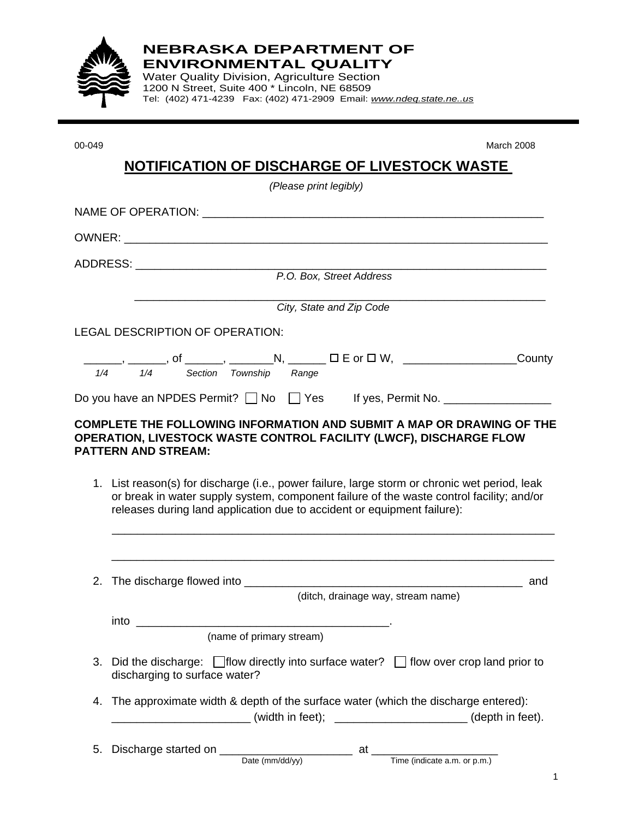

**NEBRASKA DEPARTMENT OF ENVIRONMENTAL QUALITY** 

Water Quality Division, Agriculture Section 1200 N Street, Suite 400 \* Lincoln, NE 68509 Tel: (402) 471-4239 Fax: (402) 471-2909 Email: *www.ndeq.state.ne..us* 

00-049 March 2008

|    | (Please print legibly)                                                                                                                                                                                                                                               |
|----|----------------------------------------------------------------------------------------------------------------------------------------------------------------------------------------------------------------------------------------------------------------------|
|    |                                                                                                                                                                                                                                                                      |
|    |                                                                                                                                                                                                                                                                      |
|    |                                                                                                                                                                                                                                                                      |
|    |                                                                                                                                                                                                                                                                      |
|    | City, State and Zip Code                                                                                                                                                                                                                                             |
|    | <b>LEGAL DESCRIPTION OF OPERATION:</b>                                                                                                                                                                                                                               |
|    | _______, ______, of ______, ________N, _______ □ E or □ W, ____________________County<br>1/4 1/4 Section Township Range                                                                                                                                              |
|    | Do you have an NPDES Permit? □ No □ Yes If yes, Permit No. ____________________                                                                                                                                                                                      |
|    | 1. List reason(s) for discharge (i.e., power failure, large storm or chronic wet period, leak<br>or break in water supply system, component failure of the waste control facility; and/or<br>releases during land application due to accident or equipment failure): |
|    | 2. The discharge flowed into _________<br>__________ and                                                                                                                                                                                                             |
|    | (ditch, drainage way, stream name)                                                                                                                                                                                                                                   |
|    | into<br>(name of primary stream)                                                                                                                                                                                                                                     |
| 3. | Did the discharge: $\Box$ flow directly into surface water? $\Box$ flow over crop land prior to<br>discharging to surface water?                                                                                                                                     |
| 4. | The approximate width & depth of the surface water (which the discharge entered):<br>__________________________(width in feet); __________________________(depth in feet).                                                                                           |
| 5. |                                                                                                                                                                                                                                                                      |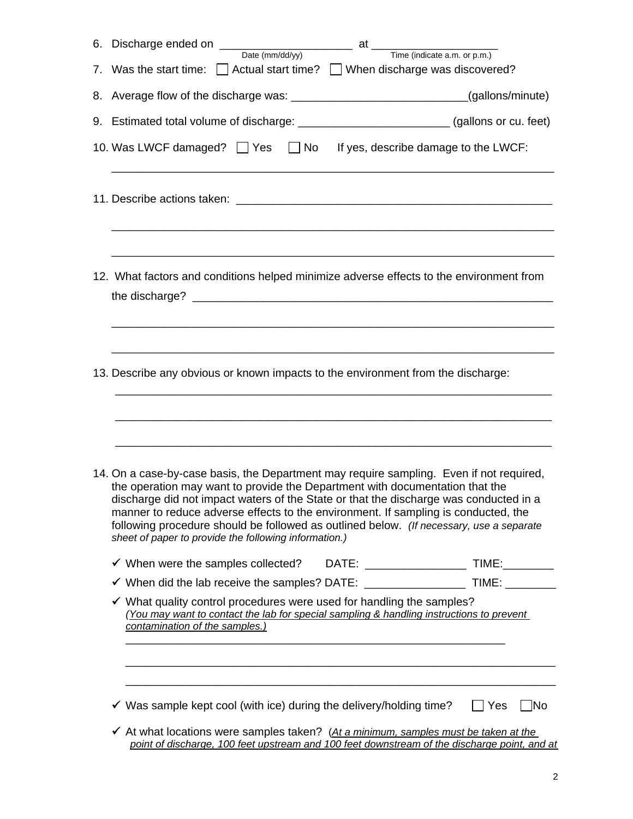| Date $(mm/dd/yy)$ at $Time (indicate a.m. or p.m.)$<br>6. Discharge ended on _____                                                                                                                                                                                                                                                                                                                                                                                                                         |                  |
|------------------------------------------------------------------------------------------------------------------------------------------------------------------------------------------------------------------------------------------------------------------------------------------------------------------------------------------------------------------------------------------------------------------------------------------------------------------------------------------------------------|------------------|
| 7. Was the start time: Actual start time? When discharge was discovered?                                                                                                                                                                                                                                                                                                                                                                                                                                   |                  |
| 8. Average flow of the discharge was: _________________________________(gallons/minute)                                                                                                                                                                                                                                                                                                                                                                                                                    |                  |
| 9. Estimated total volume of discharge: ___________________________(gallons or cu. feet)                                                                                                                                                                                                                                                                                                                                                                                                                   |                  |
| 10. Was LWCF damaged? $\Box$ Yes $\Box$ No If yes, describe damage to the LWCF:                                                                                                                                                                                                                                                                                                                                                                                                                            |                  |
| <u> 1989 - Johann Stoff, deutscher Stoff, der Stoff, der Stoff, der Stoff, der Stoff, der Stoff, der Stoff, der S</u>                                                                                                                                                                                                                                                                                                                                                                                      |                  |
| 12. What factors and conditions helped minimize adverse effects to the environment from                                                                                                                                                                                                                                                                                                                                                                                                                    |                  |
| 13. Describe any obvious or known impacts to the environment from the discharge:                                                                                                                                                                                                                                                                                                                                                                                                                           |                  |
| 14. On a case-by-case basis, the Department may require sampling. Even if not required,<br>the operation may want to provide the Department with documentation that the<br>discharge did not impact waters of the State or that the discharge was conducted in a<br>manner to reduce adverse effects to the environment. If sampling is conducted, the<br>following procedure should be followed as outlined below. (If necessary, use a separate<br>sheet of paper to provide the following information.) |                  |
|                                                                                                                                                                                                                                                                                                                                                                                                                                                                                                            |                  |
| √ When did the lab receive the samples? DATE: _______________________ TIME: __________                                                                                                                                                                                                                                                                                                                                                                                                                     |                  |
| ✔ What quality control procedures were used for handling the samples?<br>(You may want to contact the lab for special sampling & handling instructions to prevent<br>contamination of the samples.)                                                                                                                                                                                                                                                                                                        |                  |
|                                                                                                                                                                                                                                                                                                                                                                                                                                                                                                            |                  |
| $\checkmark$ Was sample kept cool (with ice) during the delivery/holding time?                                                                                                                                                                                                                                                                                                                                                                                                                             | Yes<br><b>No</b> |
| $\checkmark$ At what locations were samples taken? (At a minimum, samples must be taken at the                                                                                                                                                                                                                                                                                                                                                                                                             |                  |

*point of discharge, 100 feet upstream and 100 feet downstream of the discharge point, and at*